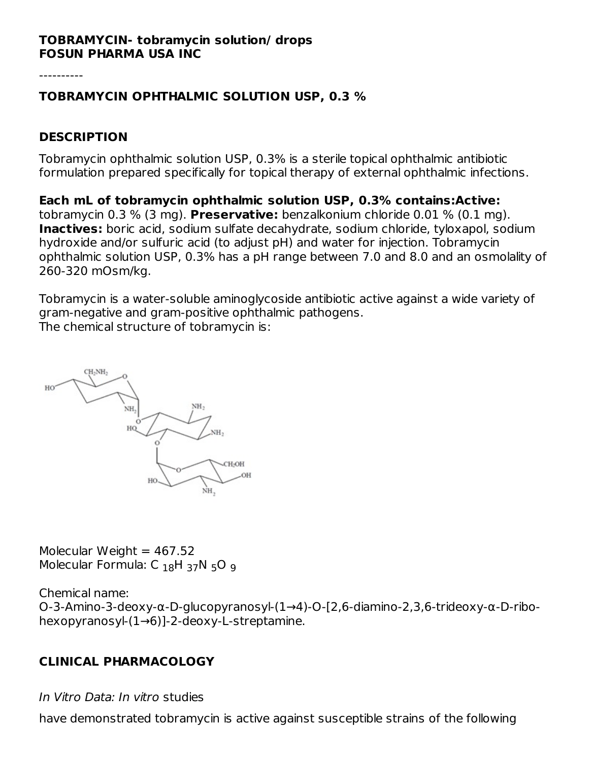#### **TOBRAMYCIN- tobramycin solution/ drops FOSUN PHARMA USA INC**

----------

#### **TOBRAMYCIN OPHTHALMIC SOLUTION USP, 0.3 %**

#### **DESCRIPTION**

Tobramycin ophthalmic solution USP, 0.3% is a sterile topical ophthalmic antibiotic formulation prepared specifically for topical therapy of external ophthalmic infections.

**Each mL of tobramycin ophthalmic solution USP, 0.3% contains:Active:** tobramycin 0.3 % (3 mg). **Preservative:** benzalkonium chloride 0.01 % (0.1 mg). **Inactives:** boric acid, sodium sulfate decahydrate, sodium chloride, tyloxapol, sodium hydroxide and/or sulfuric acid (to adjust pH) and water for injection. Tobramycin ophthalmic solution USP, 0.3% has a pH range between 7.0 and 8.0 and an osmolality of 260-320 mOsm/kg.

Tobramycin is a water-soluble aminoglycoside antibiotic active against a wide variety of gram-negative and gram-positive ophthalmic pathogens. The chemical structure of tobramycin is:



Molecular Weight =  $467.52$ و Molecular Formula: C <sub>18</sub>H <sub>37</sub>N <sub>5</sub>O

Chemical name:

O-3-Amino-3-deoxy-α-D-glucopyranosyl-(1→4)-O-[2,6-diamino-2,3,6-trideoxy-α-D-ribohexopyranosyl-(1→6)]-2-deoxy-L-streptamine.

# **CLINICAL PHARMACOLOGY**

In Vitro Data: In vitro studies

have demonstrated tobramycin is active against susceptible strains of the following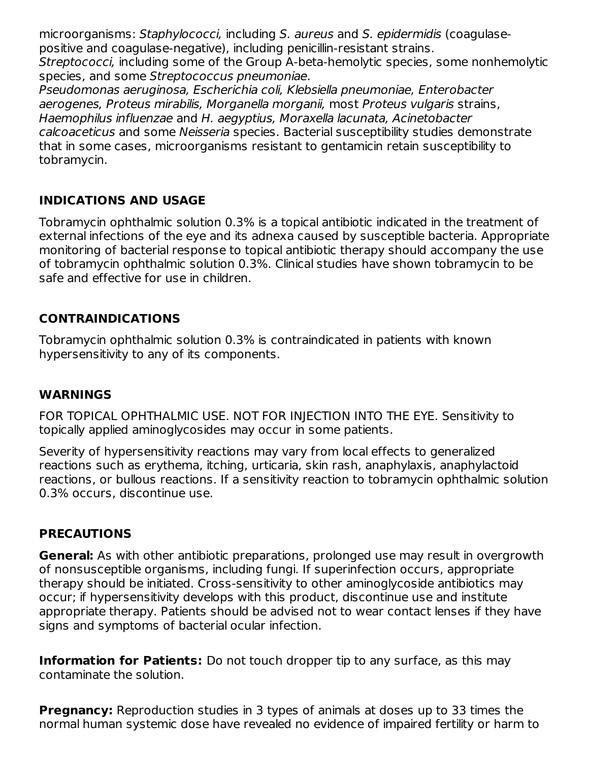microorganisms: Staphylococci, including S. aureus and S. epidermidis (coagulasepositive and coagulase-negative), including penicillin-resistant strains.

Streptococci, including some of the Group A-beta-hemolytic species, some nonhemolytic species, and some Streptococcus pneumoniae.

Pseudomonas aeruginosa, Escherichia coli, Klebsiella pneumoniae, Enterobacter aerogenes, Proteus mirabilis, Morganella morganii, most Proteus vulgaris strains, Haemophilus influenzae and H. aegyptius, Moraxella lacunata, Acinetobacter calcoaceticus and some Neisseria species. Bacterial susceptibility studies demonstrate that in some cases, microorganisms resistant to gentamicin retain susceptibility to tobramycin.

# **INDICATIONS AND USAGE**

Tobramycin ophthalmic solution 0.3% is a topical antibiotic indicated in the treatment of external infections of the eye and its adnexa caused by susceptible bacteria. Appropriate monitoring of bacterial response to topical antibiotic therapy should accompany the use of tobramycin ophthalmic solution 0.3%. Clinical studies have shown tobramycin to be safe and effective for use in children.

# **CONTRAINDICATIONS**

Tobramycin ophthalmic solution 0.3% is contraindicated in patients with known hypersensitivity to any of its components.

#### **WARNINGS**

FOR TOPICAL OPHTHALMIC USE. NOT FOR INJECTION INTO THE EYE. Sensitivity to topically applied aminoglycosides may occur in some patients.

Severity of hypersensitivity reactions may vary from local effects to generalized reactions such as erythema, itching, urticaria, skin rash, anaphylaxis, anaphylactoid reactions, or bullous reactions. If a sensitivity reaction to tobramycin ophthalmic solution 0.3% occurs, discontinue use.

#### **PRECAUTIONS**

**General:** As with other antibiotic preparations, prolonged use may result in overgrowth of nonsusceptible organisms, including fungi. If superinfection occurs, appropriate therapy should be initiated. Cross-sensitivity to other aminoglycoside antibiotics may occur; if hypersensitivity develops with this product, discontinue use and institute appropriate therapy. Patients should be advised not to wear contact lenses if they have signs and symptoms of bacterial ocular infection.

**Information for Patients:** Do not touch dropper tip to any surface, as this may contaminate the solution.

**Pregnancy:** Reproduction studies in 3 types of animals at doses up to 33 times the normal human systemic dose have revealed no evidence of impaired fertility or harm to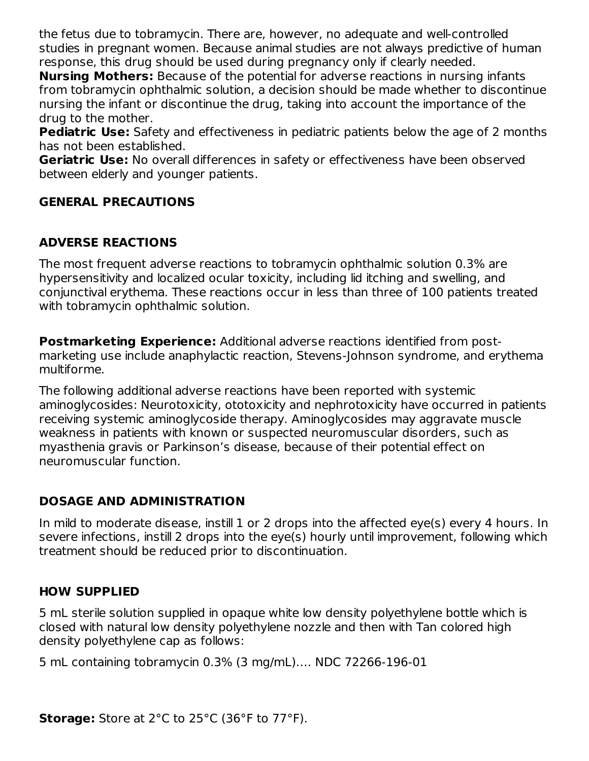the fetus due to tobramycin. There are, however, no adequate and well-controlled studies in pregnant women. Because animal studies are not always predictive of human response, this drug should be used during pregnancy only if clearly needed.

**Nursing Mothers:** Because of the potential for adverse reactions in nursing infants from tobramycin ophthalmic solution, a decision should be made whether to discontinue nursing the infant or discontinue the drug, taking into account the importance of the drug to the mother.

**Pediatric Use:** Safety and effectiveness in pediatric patients below the age of 2 months has not been established.

**Geriatric Use:** No overall differences in safety or effectiveness have been observed between elderly and younger patients.

# **GENERAL PRECAUTIONS**

# **ADVERSE REACTIONS**

The most frequent adverse reactions to tobramycin ophthalmic solution 0.3% are hypersensitivity and localized ocular toxicity, including lid itching and swelling, and conjunctival erythema. These reactions occur in less than three of 100 patients treated with tobramycin ophthalmic solution.

**Postmarketing Experience:** Additional adverse reactions identified from postmarketing use include anaphylactic reaction, Stevens-Johnson syndrome, and erythema multiforme.

The following additional adverse reactions have been reported with systemic aminoglycosides: Neurotoxicity, ototoxicity and nephrotoxicity have occurred in patients receiving systemic aminoglycoside therapy. Aminoglycosides may aggravate muscle weakness in patients with known or suspected neuromuscular disorders, such as myasthenia gravis or Parkinson's disease, because of their potential effect on neuromuscular function.

#### **DOSAGE AND ADMINISTRATION**

In mild to moderate disease, instill 1 or 2 drops into the affected eye(s) every 4 hours. In severe infections, instill 2 drops into the eye(s) hourly until improvement, following which treatment should be reduced prior to discontinuation.

#### **HOW SUPPLIED**

5 mL sterile solution supplied in opaque white low density polyethylene bottle which is closed with natural low density polyethylene nozzle and then with Tan colored high density polyethylene cap as follows:

5 mL containing tobramycin 0.3% (3 mg/mL)…. NDC 72266-196-01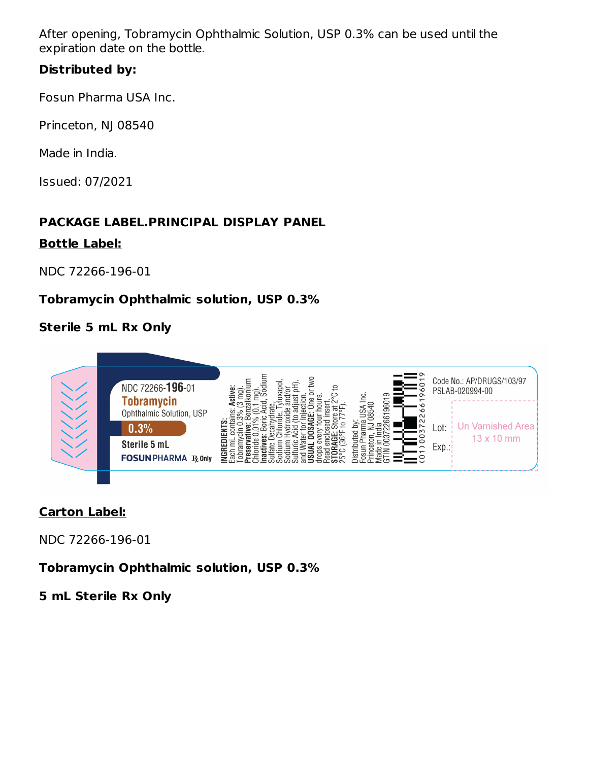After opening, Tobramycin Ophthalmic Solution, USP 0.3% can be used until the expiration date on the bottle.

### **Distributed by:**

Fosun Pharma USA Inc.

Princeton, NJ 08540

Made in India.

Issued: 07/2021

# **PACKAGE LABEL.PRINCIPAL DISPLAY PANEL**

#### **Bottle Label:**

NDC 72266-196-01

# **Tobramycin Ophthalmic solution, USP 0.3%**

# **Sterile 5 mL Rx Only**



# **Carton Label:**

NDC 72266-196-01

**Tobramycin Ophthalmic solution, USP 0.3%**

**5 mL Sterile Rx Only**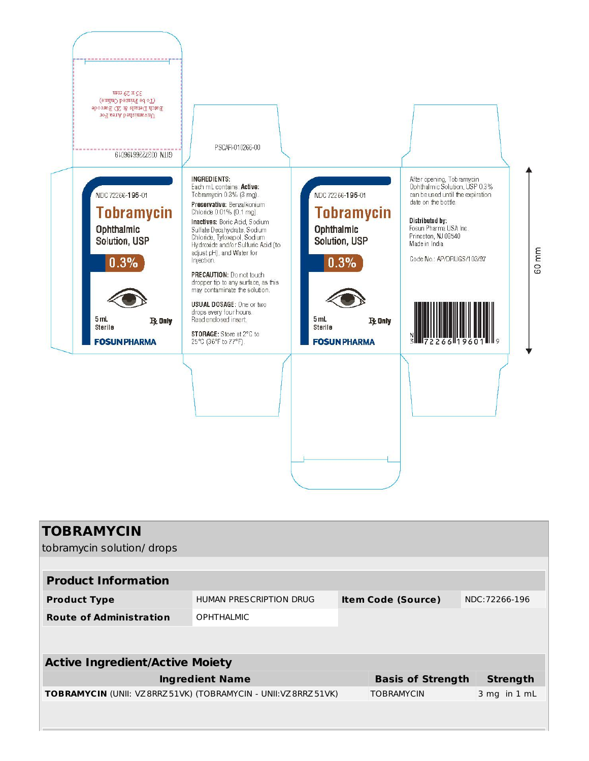

| <b>TOBRAMYCIN</b>                                                        |                         |                                             |                          |                 |  |  |
|--------------------------------------------------------------------------|-------------------------|---------------------------------------------|--------------------------|-----------------|--|--|
| tobramycin solution/ drops                                               |                         |                                             |                          |                 |  |  |
|                                                                          |                         |                                             |                          |                 |  |  |
| <b>Product Information</b>                                               |                         |                                             |                          |                 |  |  |
| <b>Product Type</b>                                                      | HUMAN PRESCRIPTION DRUG | NDC: 72266-196<br><b>Item Code (Source)</b> |                          |                 |  |  |
| <b>Route of Administration</b>                                           | <b>OPHTHALMIC</b>       |                                             |                          |                 |  |  |
|                                                                          |                         |                                             |                          |                 |  |  |
|                                                                          |                         |                                             |                          |                 |  |  |
| <b>Active Ingredient/Active Moiety</b>                                   |                         |                                             |                          |                 |  |  |
| <b>Ingredient Name</b>                                                   |                         |                                             | <b>Basis of Strength</b> | <b>Strength</b> |  |  |
| <b>TOBRAMYCIN</b> (UNII: VZ 8RRZ 51VK) (TOBRAMYCIN - UNII: VZ 8RRZ 51VK) |                         |                                             | <b>TOBRAMYCIN</b>        | 3 mg in 1 mL    |  |  |
|                                                                          |                         |                                             |                          |                 |  |  |
|                                                                          |                         |                                             |                          |                 |  |  |